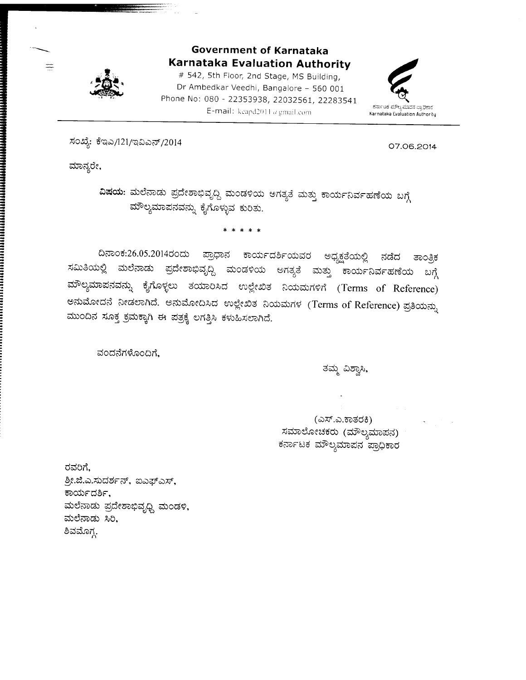

### Government of Karnataka Karnataka Evaluation Authority

# 542, 5th Floor, 2nd Stage, MS Building, Dr Ambedkar Veedhi, Bangalore - 560 <sup>001</sup> Phone No: 080 - 22353938, 22032561, 22283541 E-mail: keapd2011  $a$  gmail.com



ಸಂಖ್ಯೆ: ಕೆಇಎ/121/ಇವಿಎನ್/2014

07.06.2c^14

ಮಾನ್ಯರೇ,

 $\frac{1}{2}$ 

ವಿಷಯ: ಮಲೆನಾಡು ಪ್ರದೇಶಾಭಿವೃದ್ದಿ ಮಂಡಳಿಯ ಅಗತ್ಯತೆ ಮತ್ತು ಕಾರ್ಯನಿರ್ವಹಣೆಯ ಬಗ್ಗೆ ಮೌಲ್ಯಮಾಪನವನ್ನು ಕೈಗೊಳ್ಳುವ ಕುರಿತು.

\* \* \* \* \*

ದಿನಾಂಕ:26.05.2014ರಂದು ಪ್ರಾಧಾನ ಕಾರ್ಯದರ್ಶಿಯವರ ಅಧ್ಯಕ್ಷತೆಯಲ್ಲಿ ನಡೆದ ತಾಂತ್ರಿಕ<br>ಸಮಿತಿಯಲ್ಲಿ ಮಲೆನಾಡು ಪ್ರದೇಶಾಭಿವೃದ್ದಿ ಮಂಡಳಿಯ ಅಗತ್ಯತೆ ಮತ್ತು ಕಾರ್ಯನಿರ್ವಹಣೆಯ ಬಗ್ಗೆ ಮೌಲ್ಯಮಾಪನವನ್ನು ಕೈಗೊಳ್ಳಲು ತಯಾರಿಸಿದ ಉಲ್ಲೇಖಿತ ನಿಯಮಗಳಿಗೆ (Terms of Reference) ಅನುಮೋದನೆ ನೀಡಲಾಗಿದೆ. ಅನುಮೋದಿಸಿದ ಉಲ್ಲೇಖಿತ ನಿಯಮಗಳ (Terms of Reference) ಪ್ರತಿಯನ್ನು ಮುಂದಿನ ಸೂಕ್ತ ಕ್ರಮಕ್ಕಾಗಿ ಈ ಪತ್ರಕ್ಕೆ ಲಗತ್ತಿಸಿ ಕಳುಹಿಸಲಾಗಿದೆ.

ವಂದನೆಗಳೊಂದಿಗೆ.

ತಮ್ಮ ವಿಶ್ವಾಸಿ,

(ಎಸ್.ಎ.ಕಾತರಕಿ) ಸಮಾಲೋಚಕರು (ಮೌಲ್ಯಮಾಪನ) ಕರ್ನಾಟಕ ಮೌಲ್ಯಮಾಪನ ಪ್ರಾಧಿಕಾರ

ರವರಿಗೆ, ಶ್ರೀ.ಜಿ.ಎ.ಸುದರ್ಶನ್, ಐಎಫ್ಎಸ್, ಕಾರ್ಯದರ್ಶಿ, ಮಲೆನಾಡು ಪ್ರದೇಶಾಭಿವೃಧ್ಧಿ ಮಂಡಳಿ, ಮಲೆನಾಡು <mark>ಸಿ</mark>ರಿ ಶಿವಮೊಗ್ಗ.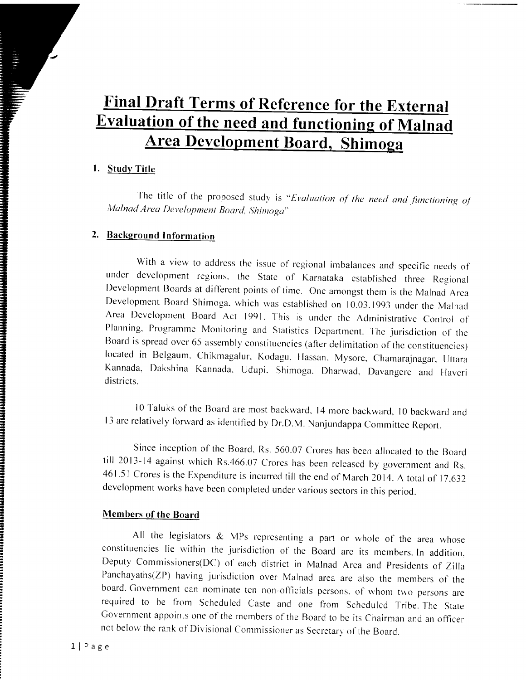# Final Draft Terms of Reference for the External Evaluation of the need and functioning of Malnad Area Development Board, Shimoga

### 1. Study Title

The title of the proposed study is "Evaluation of the need and functioning of Malnad Area Development Board, Shimoga<sup>r</sup>

### 2. Background Information

With a view to address the issue of regional imbalances and specific needs of under dcvelopment regions. the Statc of Karnataka cstablished three Reqional Development Boards at different points of time. One amongst them is the Malnad Area Development Board Shimoga, which was established on 10.03.1993 under the Malnad Area Development Board Act 1991. This is under the Administrative Control of Planning, Programme Monitoring and Statistics Department. The jurisdiction of the Board is spread over 65 assembly constituencies (after delimitation of the constituencies) located in Belgaum. Chikmagalur. Kodagu, Hassan. Mysore, Chamarajnagar, Uttara Kannada, Dakshina Kannada. Udupi. Shimoga. Dharwad. Davangere and Haveri districts.

10 Taluks of the Board are most backward. 14 more backward, 10 backward and 13 are relatively forward as identified by Dr.D.M. Nanjundappa Committee Report.

Since inception of the Board. Rs. 560.07 Crores has been allocated to the Board till 2013-14 against which Rs.466.07 Crores has been released by government and Rs. 461.51 Crores is the Expenditure is incurred till the end of March 2014. A total of 17,632 development works havc been completed under various sectors in this period.

### Members of the Board

All the legislators  $\&$  MPs representing a part or whole of the area whose constituencies lie within the jurisdiction of the Board are its members. In addition, Deputy Commissioners(DC) of each district in Malnad Area and presidents of zilla Panchayaths(ZP) having jurisdiction over Malnad area are also the members of the board. Government can nominate ten non-officials persons, of whom two persons are required to be fiom Scheduled Caste and one from Scheduled Tribe. The State Government appoints one of the members of the Board to be its Chairman and an officer not below the rank of Divisional Commissioner as Secretary of the Board.

WWW.COMPONIATION.COMPONIATION.com/html //www.com/html //www.com/html //www.com/h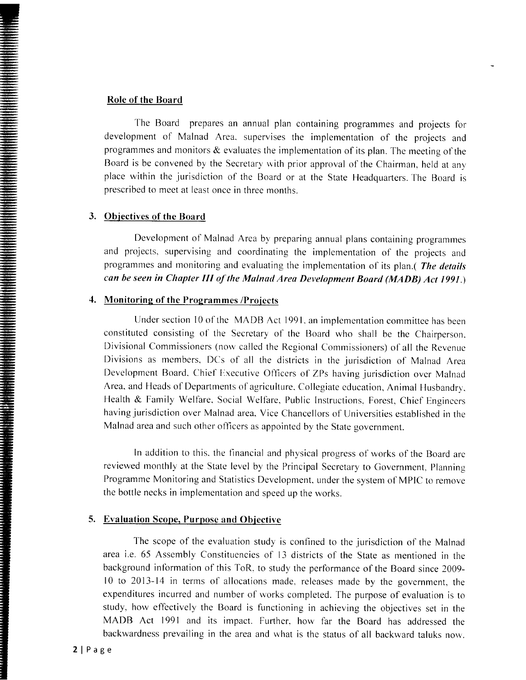#### Role of the Board

-

\*

: ilB --

The Board prepares an annual plan containing programmes and projects for development of Malnad Area. supervises the implementation of the projects and programmes and monitors  $\&$  evaluates the implementation of its plan. The meeting of the Board is be convened by the Secretary with prior approval of the Chairman, held at any place within the jurisdiction of the Board or at the State Headquarters. The Board is prescribed to meet at least once in three months.

#### 3. Objectives of the Board

Development of Malnad Area by preparing annual plans containing programmes and projects, supervising and coordinating the implementation of the projects and programmes and monitoring and evaluating the implementation of its plan.( The details can be seen in Chapter III of the Malnad Area Development Board (MADB) Act 1991.)

### 4. Monitoring of the Programmes /Projects

Under section 10 of the MADB Act 1991. an implementation committee has been constituted consisting of the Secretary of the Board who shall be the Chairperson. Divisional Commissioners (now called the Regional Commissioners) of all the Revenue Divisions as members. DCs of all the districts in the jurisdiction of Malnad Area Development Board. Chief Executive Officers of ZPs having jurisdiction over Malnad Area, and Heads of Departments of agriculture. Collegiate education, Animal Husbandry, Health & Family Welfare, Social Welfare, Public Instructions, Forest, Chief Engineers having jurisdiction over Malnad area. Vice Chancellors of Universities established in the Malnad area and such other officers as appointed by the State government.

ln addition to this. the flnancial and physical progress of works of the Board are reviewed monthly at the State level by the Principal Secretary to Government, Planning Programme Monitoring and Statistics Development. under the system of MPIC to remove the bottle necks in implementation and speed up the works.

#### 5. Evaluation Scope, Purpose and Objective

The scope of the evaluation study is confined to the jurisdiction of the Malnad area i.e. 65 Assembly Constituencies of l3 districts of the State as mentioned in the background infbrmation of this ToR. to study the performance of the Board since 2009 l0 to 2013-14 in terms of allocations made. releases made by the government, the expenditures incurred and number of works completed. The purpose of evaluation is to study, how effectively the Board is functioning in achieving the objectives set in the MADB Act 1991 and its impact. Further. how far the Board has addressed the backwardness prevailing in the area and what is the status of all backward taluks now.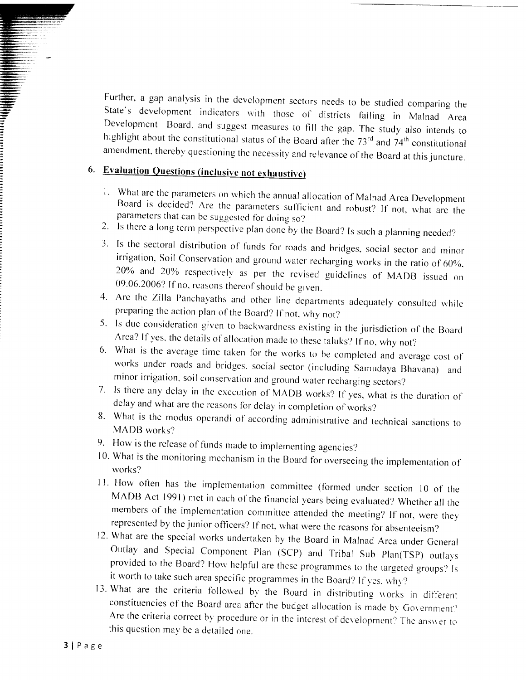Further, a gap analysis in the development sectors needs to be studied comparing the State's development indicators with those of districts falling in Malnad Area Development Board, and suggest measures to fill the gap. T amendment, thereby questioning the necessity and relevance of the Board at this juncture.

## 6. Evaluation Questions (inclusive not exhaustive)

- Board is decided? Are the parameters sufficient and robust? If not, what are the parameters that can be suggested for doing so? 1. What are the parameters on which the annual allocation of Malnad Area Development
- 2. Is there a long term perspective plan done by the Board? Is such a planning needed?
- irrigation, Soil Conservation and ground water recharging works in the ratio of 60%.<br>20% and 20% respectively as per the revised guidelines of MADB issued on 09.06.2006? If no. reasons thereof should be given. 3. Is the sectoral distribution of funds for roads and bridges, social sector and minor
- 4. Are the Zilla Panchayaths and other line departments adequately consulted while
- preparing the action plan of the Board? If not, why not?<br>5. Is due consideration given to backwardness existing in the jurisdiction of the Board<br>Area? If yes, the details of allocation made to these taluks? If no, why not?
- 6. What is the average time taken for the works to be completed and average cost of works under roads and bridges, social sector (including Samudaya Bhavana) and minor irrigation, soil conservation and ground water recharg
- 
- delay and what are the reasons for delay in completion of works?<br>8. What is the modus operandi of according administrative and technical sanctions to<br>MADB works?
- 9. How is the release of funds made to implementing agencies?
- 10. What is the monitoring mechanism in the Board for overseeing the implementation of works?
- 11. How often has the implementation committee (formed under section 10 of the MADB Act 1991) met in each of the financial years being evaluated? Whether all the members of the implementation committee attended the meeting? If not, were they represented by the junior officers? If not, what were the reasons for absenteeism?
- 12. What are the special works undertaken by the Board in Malnad Area under General<br>Outlay and Special Component Plan (SCP) and Tribal Sub Plan(TSP) outlays provided to the Board? How helpful are these programmes to the targeted groups? Is it worth to take such area specific programmes in the Board? If yes, why?
- 13. What are the criteria followed by the Board in distributing works in different constituencies of the Board area after the budget allocation is made by Government? Are the criteria correct by procedure or in the interest of development? The answer to this question may be a detailed one.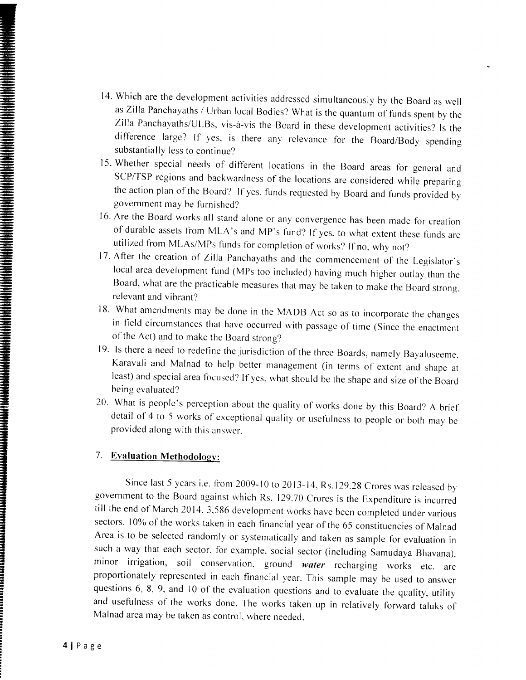- l4' Which are the development activities addressed simultaneously by the Board as well asZilla Panchayaths / Urban local Bodies? What is the quantum of funds spent by the Zilla Panchayaths/UL,Bs. vis-a-vis the Board in these development activities? Is the difference large? If yes. is there any relevance for the Board/Body spending substantially less to continue?
- l5' Whether special needs of different locations in the Board areas for general and SCP/TSP regions and backwardness of the locations are considered while preparing the action plan of the Board? If yes. funds requested by Board and funds provided by government may be furnishcd?
- 16. Are the Board works all stand alone or any convergence has been made for creation of durable assets fiom MLA's and MP's fund? If yes. to what extent these tunds are utilized fiom MLAs/Mps funds for completion of works? If no. why not?
- 17. After the creation of Zilla Panchayaths and the commencement of the Legislator's local area development fund (MPs too included) having much higher outlay than the Board, what are the practicable measures that may be taken to make the Board strong, relevant and vibrant?
- 18. What amendments may be done in the MADB Act so as to incorporate the changes in field circumstances that have occurred with passage of time (Since the enactment of the Act) and to make the Board strong?
- 19. Is there a need to redefine the jurisdiction of the three Boards, namely Bayaluseeme. Karavali and Malnad to hclp better managernent (in terms of extent and shape at least) and special area focused? If yes, what should be the shape and size of the Board being evaluated?
- 20. What is people's perception about the quality of works done by this Board? A brief detail of 4 to 5 works of exceptional quality or usefulness to people or both may be provided along with this answer.

### 7. Evaluation Methodology:

Since last 5 years i.e. from 2009-10 to 2013-14, Rs.129.28 Crores was released by government to the Board against which Rs. 129.70 Crores is the Expenditure is incurred till the end of March 2014. 3,586 development works have been completed under various sectors. 10% of the works taken in each financial year of the 65 constituencies of Malnad Area is to be selected randomly or systematically and taken as sample for evaluation in such a way that each sector, for example, social sector (including Samudaya Bhavana), minor irrigation, soil conservation, ground water recharging works etc. are proportionately represented in each financial year. This sample may be used to answer questions  $6, 8, 9,$  and  $10$  of the evaluation questions and to evaluate the quality, utility and usefulness of the works done. The works taken up in relatively forward taluks of Malnad area may be taken as control, where needed.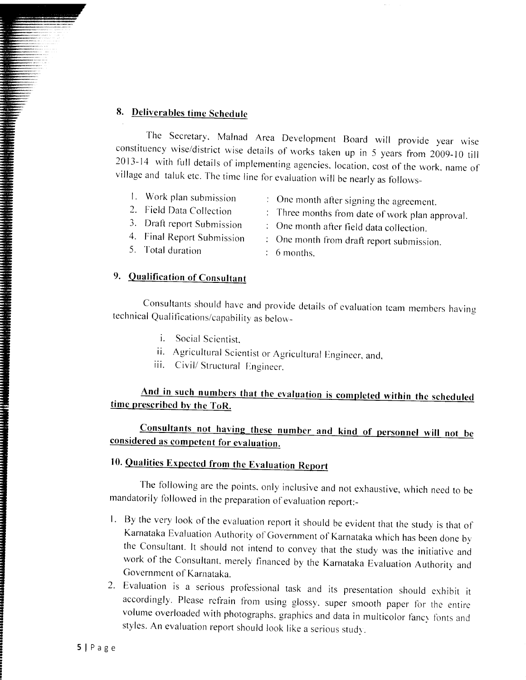## 8. Deliverables time Schedule

The Secretary, Malnad Area Development Board will provide year wise<br>constituency wise/district wise details of works taken up in 5 years from 2009-10 till 2013-14 with full details of implementing agencies, location, cost of the work, name of village and taluk etc. The time line for evaluation will be nearly as follows-

- 1. Work plan submission
- 2. Field Data Collection
- 3. Draft report Submission
- 4. Final Report Submission
- 5. Total duration

### 9. Oualification of Consultant

- Onc month after signing the agreement.
- Three months from date of work plan approval.
- $\therefore$  One month after field data collection.
- : One month from draft report submission.
- $6$  months.

Consultants should have and provide details of evaluation team members having technical Qualifications/capability as below-

- i. Social Scientist.
- ii. Agricultural Scientist or Agricultural Engineer, and, iii. Civil/Structural Engineer.
- 

And in such numbers that the evaluation is completed within the scheduled time prescribed by the ToR.

Consultants not having these number and kind of personnel will not be considered as competent for evaluation.

## 10. Qualities Expected from the Evaluation Report

The following are the points, only inclusive and not exhaustive, which need to be mandatorily followed in the preparation of evaluation report:-

- 1. By the very look of the evaluation report it should be evident that the study is that of Karnataka Evaluation Authority of Government of Karnataka which has been done by the Consultant. It should not intend to convey that the study was the initiative and work of the Consultant, merely financed by the Karnataka Evaluation Authority and Government of Karnataka.
- 2. Evaluation is a serious professional task and its presentation should exhibit it accordingly. Please refrain from using glossy, super smooth paper for the entire volume overloaded with photographs, graphics and data in multicolor fancy fonts and styles. An evaluation report should look like a serious study.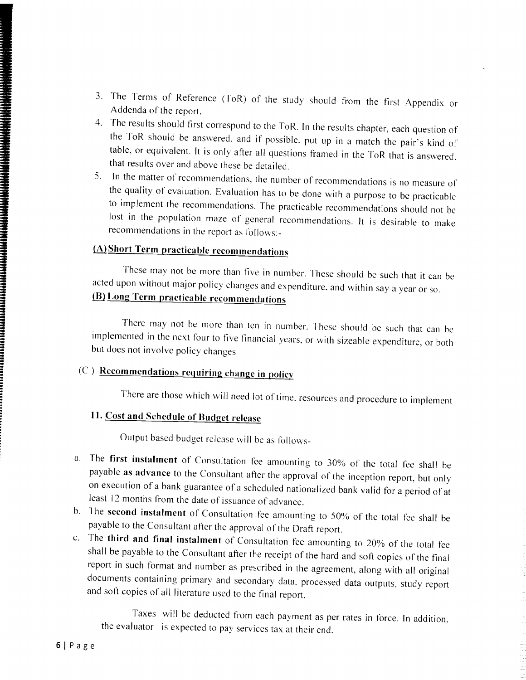- 3. The Terms of Reference (ToR) of the study should from the first Appendix or Addenda of the report.
- 4. The results should first correspond to the ToR. In the results chapter, each question of the ToR should be answered, and if possible, put up in a match the pair's kind of table, or equivalent. It is only after all quest that results over and above these be detailed.
- 5. In the matter of recommendations, the number of recommendations is no measure of the quality of evaluation. Evaluation has to be done with a purpose to be practicable to implement the recommendations. The practicable re lost in the population maze of general recommendations. It is desirable to make recommendations in the report as follows:-

## (A) Short Term practicable recommendations

These may not be more than five in number. These should be such that it can be acted upon without major policy changes and expenditure, and within say a year or so. (B) Long Term practicable recommendations

There may not be more than ten in number. These should be such that can be implemented in the next four to five financial years, or with sizeable expenditure, or both but does not involve policy changes

## (C) Recommendations requiring change in policy

There are those which will need lot of time, resources and procedure to implement

## 11. Cost and Schedule of Budget release

Output based budget release will be as follows-

- a. The first instalment of Consultation fee amounting to 30% of the total fee shall be payable as advance to the Consultant after the approval of the inception report, but only on execution of a bank guarantee of a scheduled nationalized bank valid for a period of at least 12 months from the date of issuance of advance.
- 
- b. The **second instalment** of Consultation fee amounting to 50% of the total fee shall be payable to the Consultant after the approval of the Draft report.<br>c. The **third and final instalment** of Consultation fee amounting report in such format and number as prescribed in the agreement, along with all original documents containing primary and secondary data, processed data outputs, study report and soft copies of all literature used to the final report.

Taxes will be deducted from each payment as per rates in force. In addition. the evaluator is expected to pay services tax at their end.